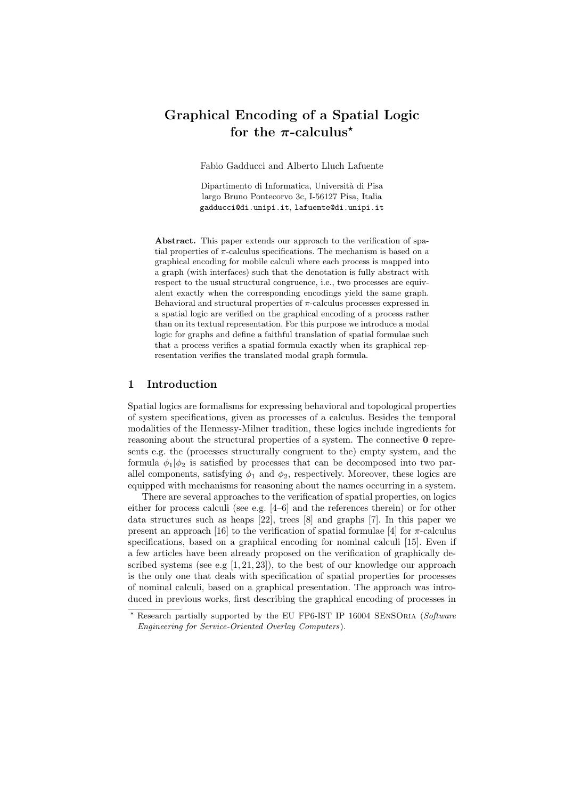# Graphical Encoding of a Spatial Logic for the  $\pi$ -calculus<sup>\*</sup>

Fabio Gadducci and Alberto Lluch Lafuente

Dipartimento di Informatica, Universit`a di Pisa largo Bruno Pontecorvo 3c, I-56127 Pisa, Italia gadducci@di.unipi.it, lafuente@di.unipi.it

Abstract. This paper extends our approach to the verification of spatial properties of  $\pi$ -calculus specifications. The mechanism is based on a graphical encoding for mobile calculi where each process is mapped into a graph (with interfaces) such that the denotation is fully abstract with respect to the usual structural congruence, i.e., two processes are equivalent exactly when the corresponding encodings yield the same graph. Behavioral and structural properties of  $\pi$ -calculus processes expressed in a spatial logic are verified on the graphical encoding of a process rather than on its textual representation. For this purpose we introduce a modal logic for graphs and define a faithful translation of spatial formulae such that a process verifies a spatial formula exactly when its graphical representation verifies the translated modal graph formula.

#### 1 Introduction

Spatial logics are formalisms for expressing behavioral and topological properties of system specifications, given as processes of a calculus. Besides the temporal modalities of the Hennessy-Milner tradition, these logics include ingredients for reasoning about the structural properties of a system. The connective **0** represents e.g. the (processes structurally congruent to the) empty system, and the formula  $\phi_1|\phi_2$  is satisfied by processes that can be decomposed into two parallel components, satisfying  $\phi_1$  and  $\phi_2$ , respectively. Moreover, these logics are equipped with mechanisms for reasoning about the names occurring in a system.

There are several approaches to the verification of spatial properties, on logics either for process calculi (see e.g. [4–6] and the references therein) or for other data structures such as heaps [22], trees [8] and graphs [7]. In this paper we present an approach [16] to the verification of spatial formulae [4] for  $\pi$ -calculus specifications, based on a graphical encoding for nominal calculi [15]. Even if a few articles have been already proposed on the verification of graphically described systems (see e.g  $[1, 21, 23]$ ), to the best of our knowledge our approach is the only one that deals with specification of spatial properties for processes of nominal calculi, based on a graphical presentation. The approach was introduced in previous works, first describing the graphical encoding of processes in

Research partially supported by the EU FP6-IST IP 16004 SENSORIA (Software Engineering for Service-Oriented Overlay Computers).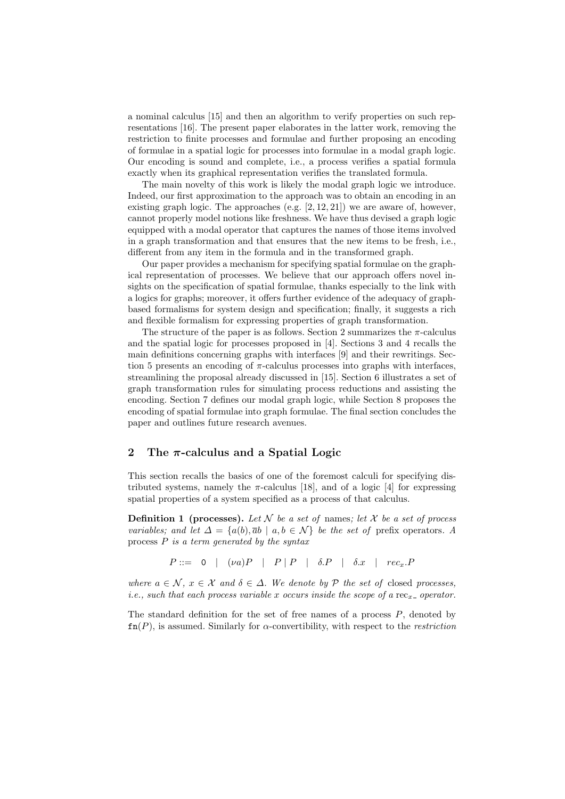a nominal calculus [15] and then an algorithm to verify properties on such representations [16]. The present paper elaborates in the latter work, removing the restriction to finite processes and formulae and further proposing an encoding of formulae in a spatial logic for processes into formulae in a modal graph logic. Our encoding is sound and complete, i.e., a process verifies a spatial formula exactly when its graphical representation verifies the translated formula.

The main novelty of this work is likely the modal graph logic we introduce. Indeed, our first approximation to the approach was to obtain an encoding in an existing graph logic. The approaches  $(e.g. [2, 12, 21])$  we are aware of, however, cannot properly model notions like freshness. We have thus devised a graph logic equipped with a modal operator that captures the names of those items involved in a graph transformation and that ensures that the new items to be fresh, i.e., different from any item in the formula and in the transformed graph.

Our paper provides a mechanism for specifying spatial formulae on the graphical representation of processes. We believe that our approach offers novel insights on the specification of spatial formulae, thanks especially to the link with a logics for graphs; moreover, it offers further evidence of the adequacy of graphbased formalisms for system design and specification; finally, it suggests a rich and flexible formalism for expressing properties of graph transformation.

The structure of the paper is as follows. Section 2 summarizes the  $\pi$ -calculus and the spatial logic for processes proposed in [4]. Sections 3 and 4 recalls the main definitions concerning graphs with interfaces [9] and their rewritings. Section 5 presents an encoding of  $\pi$ -calculus processes into graphs with interfaces, streamlining the proposal already discussed in [15]. Section 6 illustrates a set of graph transformation rules for simulating process reductions and assisting the encoding. Section 7 defines our modal graph logic, while Section 8 proposes the encoding of spatial formulae into graph formulae. The final section concludes the paper and outlines future research avenues.

## 2 The  $\pi$ -calculus and a Spatial Logic

This section recalls the basics of one of the foremost calculi for specifying distributed systems, namely the  $\pi$ -calculus [18], and of a logic [4] for expressing spatial properties of a system specified as a process of that calculus.

**Definition 1** (processes). Let N be a set of names; let X be a set of process variables; and let  $\Delta = \{a(b), \bar{a}b \mid a, b \in \mathcal{N}\}\$ be the set of prefix operators. A process  $P$  is a term generated by the syntax

 $P ::= 0 \mid (\nu a)P \mid P \mid P \mid \delta.P \mid \delta.x \mid rec_r.P$ 

where  $a \in \mathcal{N}$ ,  $x \in \mathcal{X}$  and  $\delta \in \Delta$ . We denote by  $\mathcal{P}$  the set of closed processes, *i.e.*, such that each process variable x occurs inside the scope of a rec<sub>x-</sub> operator.

The standard definition for the set of free names of a process  $P$ , denoted by  $\text{fn}(P)$ , is assumed. Similarly for  $\alpha$ -convertibility, with respect to the *restriction*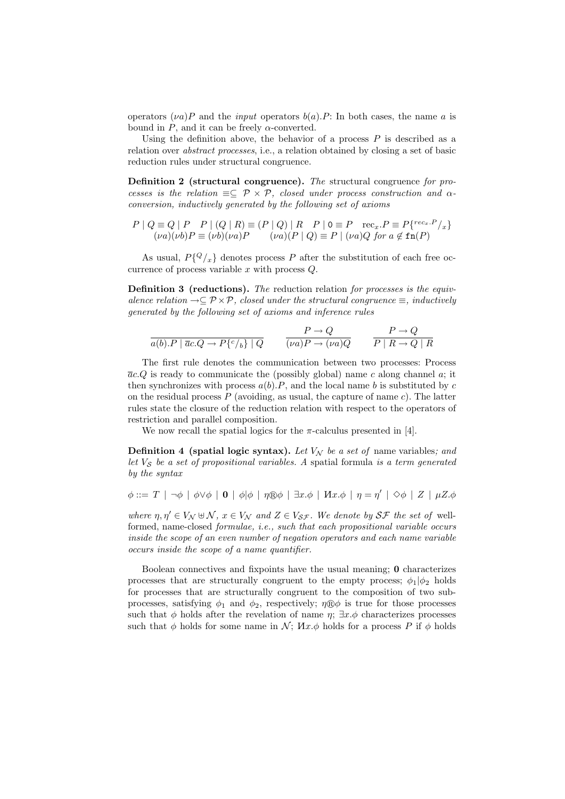operators  $(\nu a)P$  and the *input* operators  $b(a)$ . F: In both cases, the name a is bound in P, and it can be freely  $\alpha$ -converted.

Using the definition above, the behavior of a process  $P$  is described as a relation over abstract processes, i.e., a relation obtained by closing a set of basic reduction rules under structural congruence.

Definition 2 (structural congruence). The structural congruence for processes is the relation  $\equiv\subseteq \mathcal{P}\times\mathcal{P}$ , closed under process construction and  $\alpha$ conversion, inductively generated by the following set of axioms

$$
P | Q \equiv Q | P \quad P | (Q | R) \equiv (P | Q) | R \quad P | 0 \equiv P \quad \text{rec}_x.P \equiv P\{^{\text{rec}_x.P}_x\}
$$
  

$$
(\nu a)(\nu b) P \equiv (\nu b)(\nu a) P \qquad (\nu a)(P | Q) \equiv P | (\nu a) Q \text{ for } a \notin \text{fn}(P)
$$

As usual,  $P\{^Q/\}_x\}$  denotes process P after the substitution of each free occurrence of process variable  $x$  with process  $Q$ .

Definition 3 (reductions). The reduction relation for processes is the equivalence relation  $\rightarrow \subseteq \mathcal{P} \times \mathcal{P}$ , closed under the structural congruence  $\equiv$ , inductively generated by the following set of axioms and inference rules

$$
\frac{P \to Q}{a(b).P \mid \overline{a}c.Q \to P\{c/_{b}\} \mid Q} \qquad \frac{P \to Q}{(\nu a)P \to (\nu a)Q} \qquad \frac{P \to Q}{P \mid R \to Q \mid R}
$$

The first rule denotes the communication between two processes: Process  $\overline{a}c.Q$  is ready to communicate the (possibly global) name c along channel a; it then synchronizes with process  $a(b)$ . P, and the local name b is substituted by c on the residual process  $P$  (avoiding, as usual, the capture of name c). The latter rules state the closure of the reduction relation with respect to the operators of restriction and parallel composition.

We now recall the spatial logics for the  $\pi$ -calculus presented in [4].

**Definition 4 (spatial logic syntax).** Let  $V_N$  be a set of name variables; and let  $V<sub>S</sub>$  be a set of propositional variables. A spatial formula is a term generated by the syntax

 $\phi ::= T \mid \neg \phi \mid \phi \vee \phi \mid \mathbf{0} \mid \phi | \phi \mid \eta \circledcirc \phi \mid \exists x. \phi \mid \mathit{Hx}.\phi \mid \eta = \eta' \mid \Diamond \phi \mid Z \mid \mu Z. \phi$ 

where  $\eta, \eta' \in V_N \oplus \mathcal{N}$ ,  $x \in V_N$  and  $Z \in V_{\mathcal{SF}}$ . We denote by  $\mathcal{SF}$  the set of wellformed, name-closed formulae, i.e., such that each propositional variable occurs inside the scope of an even number of negation operators and each name variable occurs inside the scope of a name quantifier.

Boolean connectives and fixpoints have the usual meaning; 0 characterizes processes that are structurally congruent to the empty process;  $\phi_1|\phi_2$  holds for processes that are structurally congruent to the composition of two subprocesses, satisfying  $\phi_1$  and  $\phi_2$ , respectively;  $\eta \otimes \phi$  is true for those processes such that  $\phi$  holds after the revelation of name  $\eta$ ;  $\exists x.\phi$  characterizes processes such that  $\phi$  holds for some name in  $\mathcal{N}$ ;  $\mathcal{H}x.\phi$  holds for a process P if  $\phi$  holds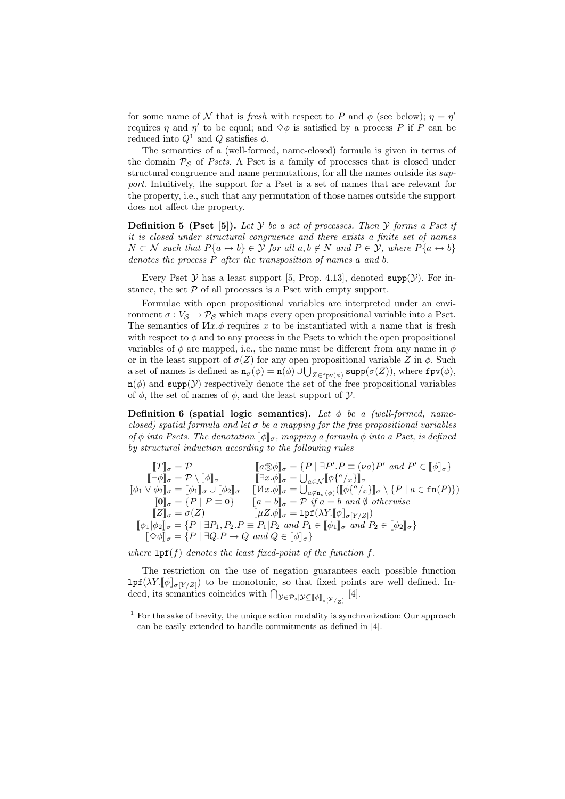for some name of N that is fresh with respect to P and  $\phi$  (see below);  $\eta = \eta'$ requires  $\eta$  and  $\eta'$  to be equal; and  $\diamond \phi$  is satisfied by a process P if P can be reduced into  $Q^1$  and  $Q$  satisfies  $\phi$ .

The semantics of a (well-formed, name-closed) formula is given in terms of the domain  $P_S$  of Psets. A Pset is a family of processes that is closed under structural congruence and name permutations, for all the names outside its support. Intuitively, the support for a Pset is a set of names that are relevant for the property, i.e., such that any permutation of those names outside the support does not affect the property.

**Definition 5** (Pset [5]). Let  $\mathcal Y$  be a set of processes. Then  $\mathcal Y$  forms a Pset if it is closed under structural congruence and there exists a finite set of names  $N \subset \mathcal{N}$  such that  $P\{a \leftrightarrow b\} \in \mathcal{Y}$  for all  $a, b \notin N$  and  $P \in \mathcal{Y}$ , where  $P\{a \leftrightarrow b\}$ denotes the process P after the transposition of names a and b.

Every Pset  $Y$  has a least support [5, Prop. 4.13], denoted supp( $Y$ ). For instance, the set  $P$  of all processes is a Pset with empty support.

Formulae with open propositional variables are interpreted under an environment  $\sigma: V_{\mathcal{S}} \to \mathcal{P}_{\mathcal{S}}$  which maps every open propositional variable into a Pset. The semantics of  $Hx.\phi$  requires x to be instantiated with a name that is fresh with respect to  $\phi$  and to any process in the Psets to which the open propositional variables of  $\phi$  are mapped, i.e., the name must be different from any name in  $\phi$ or in the least support of  $\sigma(Z)$  for any open propositional variable Z in  $\phi$ . Such a set of names is defined as  $n_{\sigma}(\phi) = n(\phi) \cup \bigcup_{Z \in \text{fpv}(\phi)} \text{supp}(\sigma(Z))$ , where  $\text{fpv}(\phi)$ ,  $n(\phi)$  and supp(*Y*) respectively denote the set of the free propositional variables of  $\phi$ , the set of names of  $\phi$ , and the least support of  $\mathcal{Y}$ .

**Definition 6 (spatial logic semantics).** Let  $\phi$  be a (well-formed, nameclosed) spatial formula and let  $\sigma$  be a mapping for the free propositional variables of  $\phi$  into Psets. The denotation  $\llbracket \phi \rrbracket_{\sigma}$ , mapping a formula  $\phi$  into a Pset, is defined by structural induction according to the following rules

$$
\begin{array}{ll}\n[T]_{\sigma} = \mathcal{P} & [a \oplus \phi]_{\sigma} = \{P \mid \exists P'.P \equiv (\nu a)P' \text{ and } P' \in [\![\phi]\!]_{\sigma}\} \\
[\![\neg \phi]\!]_{\sigma} = \mathcal{P} \setminus [\![\phi]\!]_{\sigma} & [\![\exists x.\phi]\!]_{\sigma} = \bigcup_{a \in \mathcal{N}} [\![\phi\{^a/x\}]\!]_{\sigma} \\
[\![\phi_1 \vee \phi_2]\!]_{\sigma} = [\![\phi_1]\!]_{\sigma} \cup [\![\phi_2]\!]_{\sigma} & [[\![\mathcal{M}x.\phi]\!]_{\sigma} = \bigcup_{a \notin \mathtt{n}_{\sigma}(\phi)} (\big[\![\phi\{^a/x\}]\!]_{\sigma} \setminus \{P \mid a \in \mathtt{fn}(P)\}) \\
[\![0]\!]_{\sigma} = \{P \mid P \equiv 0\} & [a = b]\!]_{\sigma} = \mathcal{P} \text{ if } a = b \text{ and } \emptyset \text{ otherwise} \\
[\![Z]\!]_{\sigma} = \sigma(Z) & [\![\mu Z.\phi]\!]_{\sigma} = \mathtt{lpf}(\lambda Y. [\![\phi]\!]_{\sigma[Y/Z]}) \\
[\![\phi_1|\phi_2]\!]_{\sigma} = \{P \mid \exists P_1, P_2.P \equiv P_1|P_2 \text{ and } P_1 \in [\![\phi_1]\!]_{\sigma} \text{ and } P_2 \in [\![\phi_2]\!]_{\sigma}\} \\
[\![\Diamond \phi]\!]_{\sigma} = \{P \mid \exists Q.P \rightarrow Q \text{ and } Q \in [\![\phi]\!]_{\sigma}\}\n\end{array}
$$

where  $\text{lpf}(f)$  denotes the least fixed-point of the function f.

The restriction on the use of negation guarantees each possible function  $\text{lpf}(\lambda Y.\llbracket \phi \rrbracket_{\sigma[Y/Z]})$  to be monotonic, so that fixed points are well defined. Indeed, its semantics coincides with  $\bigcap_{\mathcal{Y}\in\mathcal{P}_s|\mathcal{Y}\subseteq[\![\phi]\!]_{\sigma[\mathcal{Y}/z]}}[4]$ .

 $1$  For the sake of brevity, the unique action modality is synchronization: Our approach can be easily extended to handle commitments as defined in [4].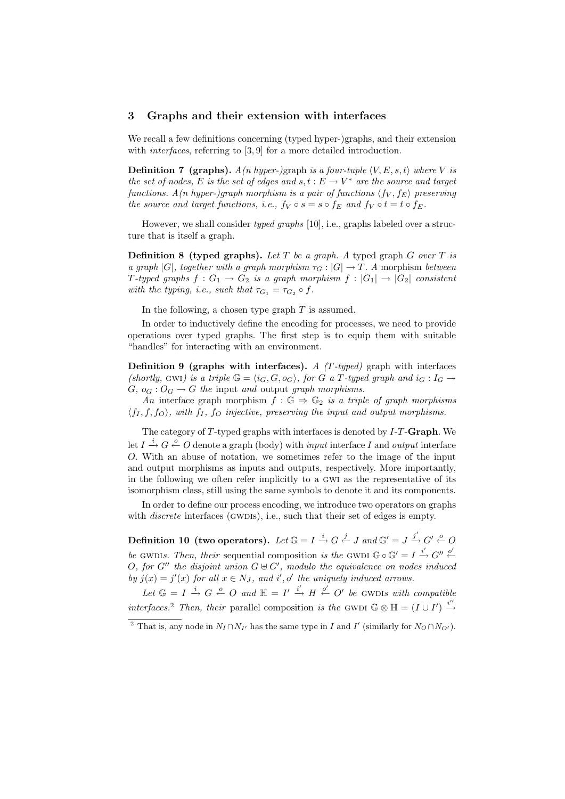#### 3 Graphs and their extension with interfaces

We recall a few definitions concerning (typed hyper-)graphs, and their extension with *interfaces*, referring to [3,9] for a more detailed introduction.

**Definition 7 (graphs).**  $A(n\ hyper-)$ graph is a four-tuple  $\langle V, E, s, t \rangle$  where V is the set of nodes, E is the set of edges and  $s, t : E \to V^*$  are the source and target functions.  $A(n$  hyper-)graph morphism is a pair of functions  $\langle f_V, f_E \rangle$  preserving the source and target functions, i.e.,  $f_V \circ s = s \circ f_E$  and  $f_V \circ t = t \circ f_E$ .

However, we shall consider typed graphs [10], i.e., graphs labeled over a structure that is itself a graph.

**Definition 8 (typed graphs).** Let T be a graph. A typed graph G over T is a graph  $|G|$ , together with a graph morphism  $\tau_G : |G| \to T$ . A morphism between T-typed graphs  $f: G_1 \to G_2$  is a graph morphism  $f: |G_1| \to |G_2|$  consistent with the typing, i.e., such that  $\tau_{G_1} = \tau_{G_2} \circ f$ .

In the following, a chosen type graph  $T$  is assumed.

In order to inductively define the encoding for processes, we need to provide operations over typed graphs. The first step is to equip them with suitable "handles" for interacting with an environment.

**Definition 9 (graphs with interfaces).** A  $(T$ -typed) graph with interfaces (shortly, GWI) is a triple  $\mathbb{G} = \langle i_G, G, o_G \rangle$ , for G a T-typed graph and  $i_G : I_G \rightarrow$  $G, o_G: O_G \to G$  the input and output graph morphisms.

An interface graph morphism  $f : \mathbb{G} \Rightarrow \mathbb{G}_2$  is a triple of graph morphisms  $\langle f_1, f_2, f_0 \rangle$ , with  $f_1, f_0$  injective, preserving the input and output morphisms.

The category of T-typed graphs with interfaces is denoted by I-T-Graph. We let  $I \stackrel{i}{\rightarrow} G \stackrel{o}{\leftarrow} O$  denote a graph (body) with *input* interface I and *output* interface O. With an abuse of notation, we sometimes refer to the image of the input and output morphisms as inputs and outputs, respectively. More importantly, in the following we often refer implicitly to a gwi as the representative of its isomorphism class, still using the same symbols to denote it and its components.

In order to define our process encoding, we introduce two operators on graphs with *discrete* interfaces (GWDIs), i.e., such that their set of edges is empty.

Definition 10 (two operators). Let  $\mathbb{G} = I \stackrel{i}{\rightharpoonup} G \stackrel{j}{\leftarrow} J$  and  $\mathbb{G}' = J \stackrel{j'}{\rightharpoonup} G' \stackrel{o}{\leftarrow} O$ be GWDIs. Then, their sequential composition is the GWDI  $\mathbb{G} \circ \mathbb{G}' = I \stackrel{i'}{\rightarrow} G'' \stackrel{o'}{\leftarrow}$ O, for  $G''$  the disjoint union  $G \oplus G'$ , modulo the equivalence on nodes induced by  $j(x) = j'(x)$  for all  $x \in N_J$ , and  $i', o'$  the uniquely induced arrows.

Let  $\mathbb{G} = I \stackrel{i}{\rightarrow} G \stackrel{o}{\leftarrow} O$  and  $\mathbb{H} = I' \stackrel{i'}{\rightarrow} H \stackrel{o'}{\leftarrow} O'$  be GWDIS with compatible interfaces.<sup>2</sup> Then, their parallel composition is the GWDI  $\mathbb{G} \otimes \mathbb{H} = (I \cup I') \stackrel{i''}{\rightarrow}$ 

<sup>&</sup>lt;sup>2</sup> That is, any node in  $N_I \cap N_{I'}$  has the same type in I and I' (similarly for  $N_O \cap N_{O'}$ ).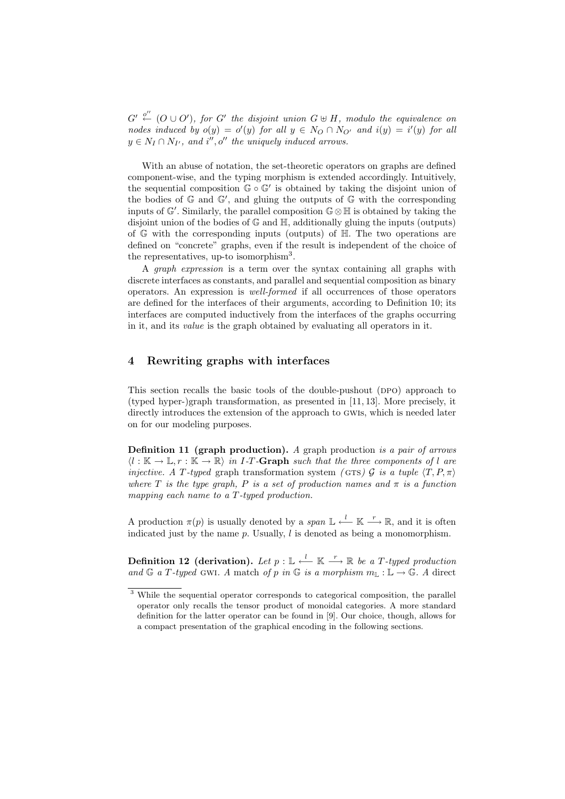$G' \stackrel{o''}{\leftarrow} (O \cup O')$ , for  $G'$  the disjoint union  $G \uplus H$ , modulo the equivalence on nodes induced by  $o(y) = o'(y)$  for all  $y \in N_O \cap N_{O'}$  and  $i(y) = i'(y)$  for all  $y \in N_I \cap N_{I'}$ , and i'', o'' the uniquely induced arrows.

With an abuse of notation, the set-theoretic operators on graphs are defined component-wise, and the typing morphism is extended accordingly. Intuitively, the sequential composition  $\mathbb{G} \circ \mathbb{G}'$  is obtained by taking the disjoint union of the bodies of  $\mathbb G$  and  $\mathbb G'$ , and gluing the outputs of  $\mathbb G$  with the corresponding inputs of  $\mathbb{G}'$ . Similarly, the parallel composition  $\mathbb{G} \otimes \mathbb{H}$  is obtained by taking the disjoint union of the bodies of G and H, additionally gluing the inputs (outputs) of  $\mathbb G$  with the corresponding inputs (outputs) of  $\mathbb H$ . The two operations are defined on "concrete" graphs, even if the result is independent of the choice of the representatives, up-to isomorphism<sup>3</sup>.

A graph expression is a term over the syntax containing all graphs with discrete interfaces as constants, and parallel and sequential composition as binary operators. An expression is well-formed if all occurrences of those operators are defined for the interfaces of their arguments, according to Definition 10; its interfaces are computed inductively from the interfaces of the graphs occurring in it, and its value is the graph obtained by evaluating all operators in it.

## 4 Rewriting graphs with interfaces

This section recalls the basic tools of the double-pushout (ppo) approach to (typed hyper-)graph transformation, as presented in [11, 13]. More precisely, it directly introduces the extension of the approach to gwis, which is needed later on for our modeling purposes.

**Definition 11 (graph production).** A graph production is a pair of arrows  $\langle l : \mathbb{K} \to \mathbb{L}, r : \mathbb{K} \to \mathbb{R} \rangle$  in I-T-Graph such that the three components of l are *injective.* A T-typed graph transformation system (GTS) G is a tuple  $\langle T, P, \pi \rangle$ where T is the type graph, P is a set of production names and  $\pi$  is a function mapping each name to a T-typed production.

A production  $\pi(p)$  is usually denoted by a span  $\mathbb{L} \stackrel{l}{\leftarrow} \mathbb{K} \stackrel{r}{\longrightarrow} \mathbb{R}$ , and it is often indicated just by the name  $p$ . Usually,  $l$  is denoted as being a monomorphism.

Definition 12 (derivation). Let  $p: \mathbb{L} \stackrel{l}{\longleftarrow} \mathbb{K} \stackrel{r}{\longrightarrow} \mathbb{R}$  be a T-typed production and G a T-typed GWI. A match of p in G is a morphism  $m_{\mathbb{L}} : \mathbb{L} \to \mathbb{G}$ . A direct

<sup>&</sup>lt;sup>3</sup> While the sequential operator corresponds to categorical composition, the parallel operator only recalls the tensor product of monoidal categories. A more standard definition for the latter operator can be found in [9]. Our choice, though, allows for a compact presentation of the graphical encoding in the following sections.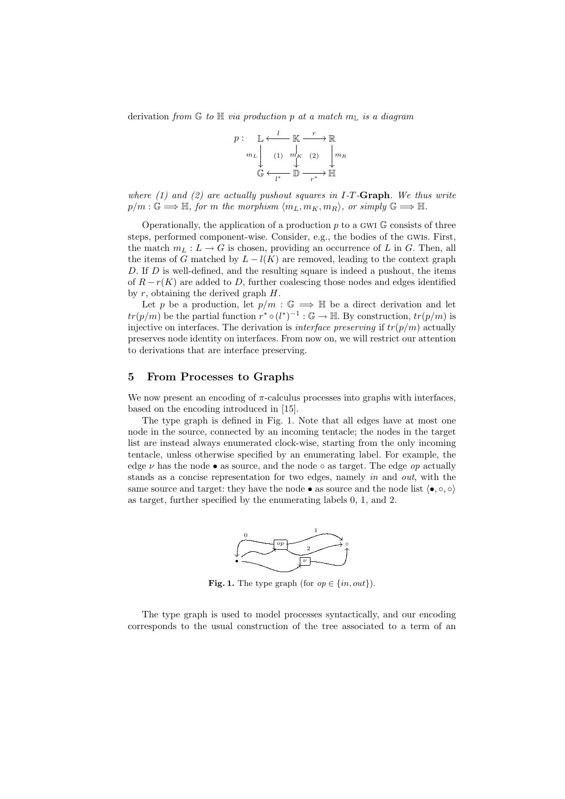derivation from  $\mathbb G$  to  $\mathbb H$  via production p at a match  $m_{\mathbb L}$  is a diagram



where  $(1)$  and  $(2)$  are actually pushout squares in I-T-Graph. We thus write  $p/m : \mathbb{G} \Longrightarrow \mathbb{H}$ , for m the morphism  $\langle m_L, m_K, m_R \rangle$ , or simply  $\mathbb{G} \Longrightarrow \mathbb{H}$ .

Operationally, the application of a production  $p$  to a GWI  $\mathbb{G}$  consists of three steps, performed component-wise. Consider, e.g., the bodies of the gwis. First, the match  $m_L : L \to G$  is chosen, providing an occurrence of L in G. Then, all the items of G matched by  $L - l(K)$  are removed, leading to the context graph D. If D is well-defined, and the resulting square is indeed a pushout, the items of  $R - r(K)$  are added to D, further coalescing those nodes and edges identified by  $r$ , obtaining the derived graph  $H$ .

Let p be a production, let  $p/m : \mathbb{G} \implies \mathbb{H}$  be a direct derivation and let  $tr(p/m)$  be the partial function  $r^* \circ (l^*)^{-1} : \mathbb{G} \to \mathbb{H}$ . By construction,  $tr(p/m)$  is injective on interfaces. The derivation is *interface preserving* if  $tr(p/m)$  actually preserves node identity on interfaces. From now on, we will restrict our attention to derivations that are interface preserving.

#### 5 From Processes to Graphs

We now present an encoding of  $\pi$ -calculus processes into graphs with interfaces, based on the encoding introduced in [15].

The type graph is defined in Fig. 1. Note that all edges have at most one node in the source, connected by an incoming tentacle; the nodes in the target list are instead always enumerated clock-wise, starting from the only incoming tentacle, unless otherwise specified by an enumerating label. For example, the edge  $\nu$  has the node • as source, and the node  $\circ$  as target. The edge *op* actually stands as a concise representation for two edges, namely in and out, with the same source and target: they have the node • as source and the node list  $\langle \bullet, \circ, \circ \rangle$ as target, further specified by the enumerating labels 0, 1, and 2.



**Fig. 1.** The type graph (for  $op \in \{in, out\}$ ).

The type graph is used to model processes syntactically, and our encoding corresponds to the usual construction of the tree associated to a term of an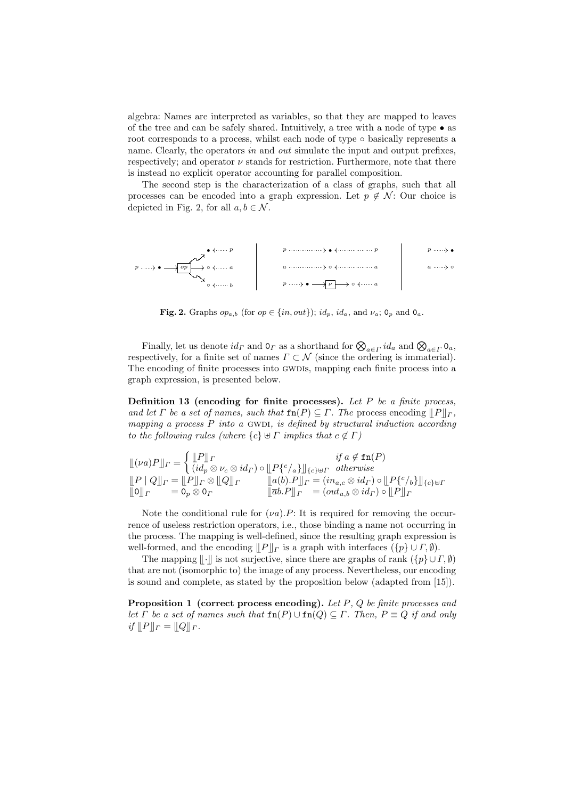algebra: Names are interpreted as variables, so that they are mapped to leaves of the tree and can be safely shared. Intuitively, a tree with a node of type • as root corresponds to a process, whilst each node of type ∘ basically represents a name. Clearly, the operators in and out simulate the input and output prefixes, respectively; and operator  $\nu$  stands for restriction. Furthermore, note that there is instead no explicit operator accounting for parallel composition.

The second step is the characterization of a class of graphs, such that all processes can be encoded into a graph expression. Let  $p \notin \mathcal{N}$ : Our choice is depicted in Fig. 2, for all  $a, b \in \mathcal{N}$ .



Fig. 2. Graphs  $op_{a,b}$  (for  $op \in \{in, out\}$ );  $id_p$ ,  $id_a$ , and  $\nu_a$ ;  $0_p$  and  $0_a$ .

Finally, let us denote  $id_{\Gamma}$  and  $0_{\Gamma}$  as a shorthand for  $\bigotimes_{a \in \Gamma} id_a$  and  $\bigotimes_{a \in \Gamma} 0_a$ , respectively, for a finite set of names  $\Gamma \subset \mathcal{N}$  (since the ordering is immaterial). The encoding of finite processes into GWDIs, mapping each finite process into a graph expression, is presented below.

Definition 13 (encoding for finite processes). Let  $P$  be a finite process, and let Γ be a set of names, such that  $\text{fn}(P) \subseteq \Gamma$ . The process encoding  $||P||_F$ . mapping a process  $P$  into a GWDI, is defined by structural induction according to the following rules (where  $\{c\} \uplus \Gamma$  implies that  $c \notin \Gamma$ )

$$
\begin{aligned}\n\mathcal{L}(\nu a)P \Vert_{\Gamma} &= \begin{cases}\n\mathcal{L}P \Vert_{\Gamma} & \text{if } a \notin \text{fn}(P) \\
(id_p \otimes \nu_c \otimes id_\Gamma) \circ \mathcal{L}P^c \Vert_{\{c\} \oplus \Gamma} & \text{otherwise}\n\end{cases} \\
\mathcal{L}P \Vert Q \Vert_{\Gamma} &= \mathcal{L}P \Vert_{\Gamma} \otimes \mathcal{L}Q \Vert_{\Gamma} &= (id_b) \cdot P \Vert_{\Gamma} = (in_{a,c} \otimes id_\Gamma) \circ \mathcal{L}P^c \Vert_{\{c\} \oplus \Gamma} \\
\mathcal{L}Q \Vert_{\Gamma} &= \mathcal{O}_p \otimes \mathcal{O}_\Gamma &= (out_{a,b} \otimes id_\Gamma) \circ \mathcal{L}P \Vert_{\Gamma}\n\end{aligned}
$$

Note the conditional rule for  $(\nu a)$ . P: It is required for removing the occurrence of useless restriction operators, i.e., those binding a name not occurring in the process. The mapping is well-defined, since the resulting graph expression is well-formed, and the encoding  $||P||_r$  is a graph with interfaces  $({p} \cup F, \emptyset)$ .

The mapping  $\Vert \cdot \Vert$  is not surjective, since there are graphs of rank  $(\lbrace p \rbrace \cup \Gamma, \emptyset)$ that are not (isomorphic to) the image of any process. Nevertheless, our encoding is sound and complete, as stated by the proposition below (adapted from [15]).

**Proposition 1** (correct process encoding). Let  $P$ ,  $Q$  be finite processes and let  $\Gamma$  be a set of names such that  $\text{fn}(P) \cup \text{fn}(Q) \subseteq \Gamma$ . Then,  $P \equiv Q$  if and only if  $||P||_F = ||Q||_F$ .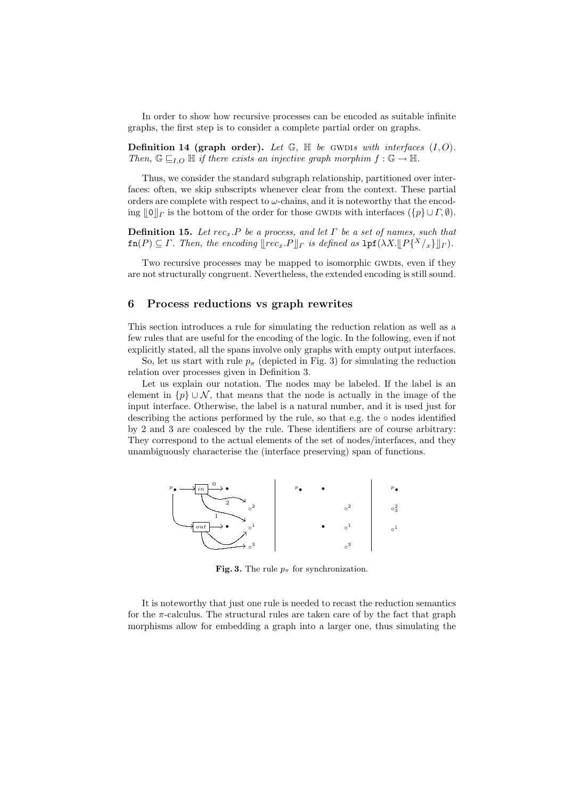In order to show how recursive processes can be encoded as suitable infinite graphs, the first step is to consider a complete partial order on graphs.

Definition 14 (graph order). Let  $\mathbb{G}$ ,  $\mathbb{H}$  be GWDIs with interfaces  $(I, O)$ . Then,  $\mathbb{G} \sqsubseteq_{I,O} \mathbb{H}$  if there exists an injective graph morphim  $f : \mathbb{G} \to \mathbb{H}$ .

Thus, we consider the standard subgraph relationship, partitioned over interfaces: often, we skip subscripts whenever clear from the context. These partial orders are complete with respect to  $\omega$ -chains, and it is noteworthy that the encoding  $\|0\|_{\Gamma}$  is the bottom of the order for those gwdls with interfaces  $({p} \cup \Gamma, \emptyset)$ .

**Definition 15.** Let  $rec_x$ . P be a process, and let  $\Gamma$  be a set of names, such that  $f(n(P) \subseteq \Gamma$ . Then, the encoding  $\llbracket rec_x.P \rrbracket_{\Gamma}$  is defined as  $1pf(\lambda X.\llbracket P\{^X/_x\} \rrbracket_{\Gamma}).$ 

Two recursive processes may be mapped to isomorphic GWDIs, even if they are not structurally congruent. Nevertheless, the extended encoding is still sound.

#### 6 Process reductions vs graph rewrites

This section introduces a rule for simulating the reduction relation as well as a few rules that are useful for the encoding of the logic. In the following, even if not explicitly stated, all the spans involve only graphs with empty output interfaces.

So, let us start with rule  $p_{\pi}$  (depicted in Fig. 3) for simulating the reduction relation over processes given in Definition 3.

Let us explain our notation. The nodes may be labeled. If the label is an element in  $\{p\} \cup \mathcal{N}$ , that means that the node is actually in the image of the input interface. Otherwise, the label is a natural number, and it is used just for describing the actions performed by the rule, so that e.g. the  $\circ$  nodes identified by 2 and 3 are coalesced by the rule. These identifiers are of course arbitrary: They correspond to the actual elements of the set of nodes/interfaces, and they unambiguously characterise the (interface preserving) span of functions.



**Fig. 3.** The rule  $p_{\pi}$  for synchronization.

It is noteworthy that just one rule is needed to recast the reduction semantics for the  $\pi$ -calculus. The structural rules are taken care of by the fact that graph morphisms allow for embedding a graph into a larger one, thus simulating the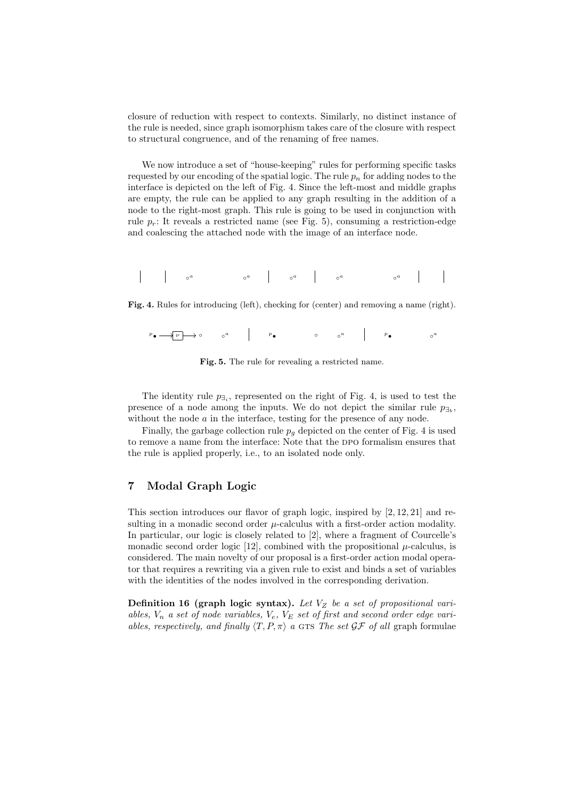closure of reduction with respect to contexts. Similarly, no distinct instance of the rule is needed, since graph isomorphism takes care of the closure with respect to structural congruence, and of the renaming of free names.

We now introduce a set of "house-keeping" rules for performing specific tasks requested by our encoding of the spatial logic. The rule  $p_n$  for adding nodes to the interface is depicted on the left of Fig. 4. Since the left-most and middle graphs are empty, the rule can be applied to any graph resulting in the addition of a node to the right-most graph. This rule is going to be used in conjunction with rule  $p_r$ : It reveals a restricted name (see Fig. 5), consuming a restriction-edge and coalescing the attached node with the image of an interface node.

◦ <sup>a</sup> ◦ <sup>a</sup> ◦ <sup>a</sup> ◦ <sup>a</sup> ◦ a

Fig. 4. Rules for introducing (left), checking for (center) and removing a name (right).

<sup>p</sup>• /<sup>ν</sup> /◦ ◦ <sup>a</sup> <sup>p</sup>• ◦ ◦ <sup>a</sup> <sup>p</sup>• ◦<sup>a</sup>

Fig. 5. The rule for revealing a restricted name.

The identity rule  $p_{\exists i}$ , represented on the right of Fig. 4, is used to test the presence of a node among the inputs. We do not depict the similar rule  $p_{\exists b}$ , without the node  $a$  in the interface, testing for the presence of any node.

Finally, the garbage collection rule  $p<sub>g</sub>$  depicted on the center of Fig. 4 is used to remove a name from the interface: Note that the DPO formalism ensures that the rule is applied properly, i.e., to an isolated node only.

### 7 Modal Graph Logic

This section introduces our flavor of graph logic, inspired by [2, 12, 21] and resulting in a monadic second order  $\mu$ -calculus with a first-order action modality. In particular, our logic is closely related to [2], where a fragment of Courcelle's monadic second order logic [12], combined with the propositional  $\mu$ -calculus, is considered. The main novelty of our proposal is a first-order action modal operator that requires a rewriting via a given rule to exist and binds a set of variables with the identities of the nodes involved in the corresponding derivation.

Definition 16 (graph logic syntax). Let  $V_Z$  be a set of propositional variables,  $V_n$  a set of node variables,  $V_e$ ,  $V_E$  set of first and second order edge variables, respectively, and finally  $\langle T, P, \pi \rangle$  a GTS The set  $\mathcal{GF}$  of all graph formulae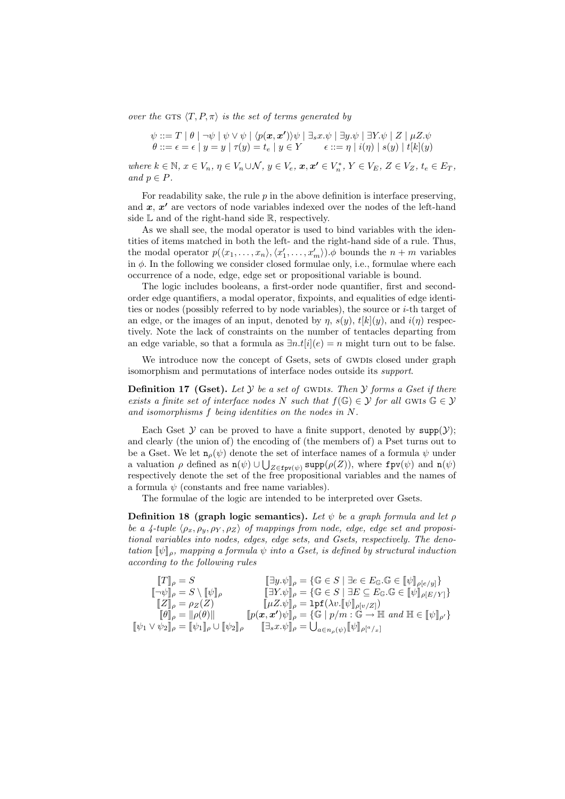over the GTS  $\langle T, P, \pi \rangle$  is the set of terms generated by

$$
\psi ::= T | \theta | \neg \psi | \psi \vee \psi | \langle p(x, x') \rangle \psi | \exists_s x. \psi | \exists y. \psi | \exists Y. \psi | Z | \mu Z. \psi
$$
  

$$
\theta ::= \epsilon = \epsilon | y = y | \tau(y) = t_e | y \in Y \qquad \epsilon ::= \eta | i(\eta) | s(y) | t[k](y)
$$

where  $k \in \mathbb{N}$ ,  $x \in V_n$ ,  $\eta \in V_n \cup \mathcal{N}$ ,  $y \in V_e$ ,  $x, x' \in V_n^*$ ,  $Y \in V_E$ ,  $Z \in V_Z$ ,  $t_e \in E_T$ , and  $p \in P$ .

For readability sake, the rule  $p$  in the above definition is interface preserving. and  $x, x'$  are vectors of node variables indexed over the nodes of the left-hand side  $\mathbb L$  and of the right-hand side  $\mathbb R$ , respectively.

As we shall see, the modal operator is used to bind variables with the identities of items matched in both the left- and the right-hand side of a rule. Thus, the modal operator  $p(\langle x_1, \ldots, x_n \rangle, \langle x'_1, \ldots, x'_m \rangle) \phi$  bounds the  $n + m$  variables in  $\phi$ . In the following we consider closed formulae only, i.e., formulae where each occurrence of a node, edge, edge set or propositional variable is bound.

The logic includes booleans, a first-order node quantifier, first and secondorder edge quantifiers, a modal operator, fixpoints, and equalities of edge identities or nodes (possibly referred to by node variables), the source or  $i$ -th target of an edge, or the images of an input, denoted by  $\eta$ ,  $s(y)$ ,  $t[k](y)$ , and  $i(\eta)$  respectively. Note the lack of constraints on the number of tentacles departing from an edge variable, so that a formula as  $\exists n.t[i](e) = n$  might turn out to be false.

We introduce now the concept of Gsets, sets of GWDIs closed under graph isomorphism and permutations of interface nodes outside its support.

**Definition 17 (Gset).** Let  $Y$  be a set of GWDIs. Then  $Y$  forms a Gset if there exists a finite set of interface nodes N such that  $f(\mathbb{G}) \in \mathcal{Y}$  for all GWIs  $\mathbb{G} \in \mathcal{Y}$ and isomorphisms f being identities on the nodes in N.

Each Gset  $Y$  can be proved to have a finite support, denoted by  $supp(Y)$ ; and clearly (the union of) the encoding of (the members of) a Pset turns out to be a Gset. We let  $\mathbf{n}_{\rho}(\psi)$  denote the set of interface names of a formula  $\psi$  under a valuation  $\rho$  defined as  $n(\psi) \cup \bigcup_{Z \in \text{fpv}(\psi)} \text{supp}(\rho(Z))$ , where  $\text{fpv}(\psi)$  and  $n(\psi)$ respectively denote the set of the free propositional variables and the names of a formula  $\psi$  (constants and free name variables).

The formulae of the logic are intended to be interpreted over Gsets.

**Definition 18 (graph logic semantics).** Let  $\psi$  be a graph formula and let  $\rho$ be a 4-tuple  $\langle \rho_x, \rho_y, \rho_y, \rho_z \rangle$  of mappings from node, edge, edge set and propositional variables into nodes, edges, edge sets, and Gsets, respectively. The denotation  $\llbracket \psi \rrbracket_o$ , mapping a formula  $\psi$  into a Gset, is defined by structural induction according to the following rules

$$
\begin{array}{ll}\n[T]_{\rho} = S & \left[\exists y.\psi\right]_{\rho} = \{\mathbb{G} \in S \mid \exists e \in E_{\mathbb{G}}.\mathbb{G} \in \llbracket \psi \rrbracket_{\rho[\epsilon/y]} \} \\
[\neg \psi]_{\rho} = S \setminus \llbracket \psi \rrbracket_{\rho} & \left[\exists Y.\psi \right]_{\rho} = \{\mathbb{G} \in S \mid \exists E \subseteq E_{\mathbb{G}}.\mathbb{G} \in \llbracket \psi \rrbracket_{\rho[\epsilon/y]} \} \\
[Z]_{\rho} = \rho_Z(Z) & \left[\mu Z.\psi\right]_{\rho} = \text{lpf}(\lambda v.\llbracket \psi \rrbracket_{\rho[\nu/Z]}) \\
[\![\theta]\!]_{\rho} = \|\rho(\theta)\| & \left[\![p(\pmb{x}, \pmb{x}')\psi\right]_{\rho} = \{\mathbb{G} \mid p/m: \mathbb{G} \to \mathbb{H} \text{ and } \mathbb{H} \in \llbracket \psi \rrbracket_{\rho'} \} \\
[\![\psi_1 \vee \psi_2]\!]_{\rho} = \llbracket \psi_1\rrbracket_{\rho} \cup \llbracket \psi_2\rrbracket_{\rho} & \llbracket \exists_s x.\psi \rrbracket_{\rho} = \bigcup_{a \in n_{\rho}(\psi)} \llbracket \psi \rrbracket_{\rho[\alpha]_{x}}\n\end{array}
$$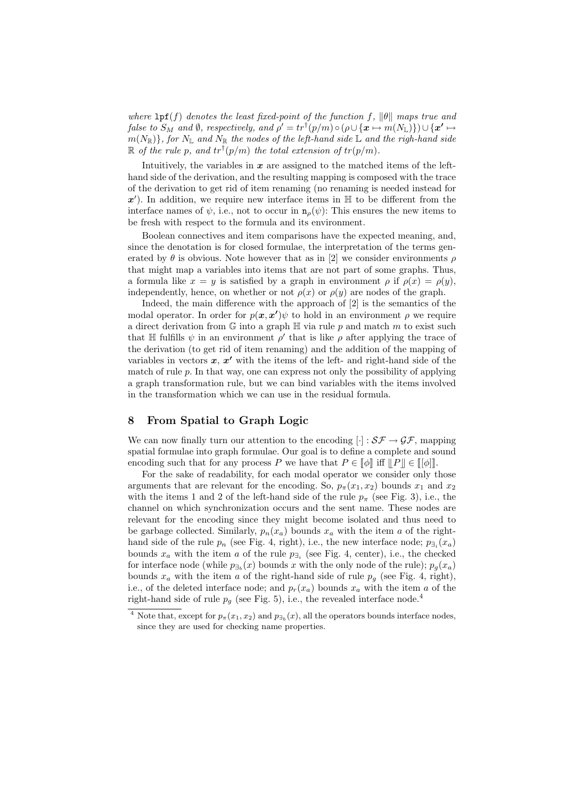where  $\text{lpf}(f)$  denotes the least fixed-point of the function f,  $\|\theta\|$  maps true and false to  $S_M$  and  $\emptyset$ , respectively, and  $\rho'=tr^\dagger(p/m)\circ(\rho\cup\{\bm{x}\mapsto m(N_{\mathbb{L}})\})\cup\{\bm{x'}\mapsto$  $m(N_{\mathbb{R}})$ , for  $N_{\mathbb{L}}$  and  $N_{\mathbb{R}}$  the nodes of the left-hand side  $\mathbb{L}$  and the righ-hand side  $\mathbb R$  of the rule p, and  $tr^{\dagger}(p/m)$  the total extension of  $tr(p/m)$ .

Intuitively, the variables in  $x$  are assigned to the matched items of the lefthand side of the derivation, and the resulting mapping is composed with the trace of the derivation to get rid of item renaming (no renaming is needed instead for  $x'$ ). In addition, we require new interface items in  $\mathbb H$  to be different from the interface names of  $\psi$ , i.e., not to occur in  $\mathbf{n}_{\rho}(\psi)$ : This ensures the new items to be fresh with respect to the formula and its environment.

Boolean connectives and item comparisons have the expected meaning, and, since the denotation is for closed formulae, the interpretation of the terms generated by  $\theta$  is obvious. Note however that as in [2] we consider environments  $\rho$ that might map a variables into items that are not part of some graphs. Thus, a formula like  $x = y$  is satisfied by a graph in environment  $\rho$  if  $\rho(x) = \rho(y)$ , independently, hence, on whether or not  $\rho(x)$  or  $\rho(y)$  are nodes of the graph.

Indeed, the main difference with the approach of [2] is the semantics of the modal operator. In order for  $p(x, x')\psi$  to hold in an environment  $\rho$  we require a direct derivation from  $\mathbb G$  into a graph  $\mathbb H$  via rule p and match m to exist such that  $\mathbb H$  fulfills  $\psi$  in an environment  $\rho'$  that is like  $\rho$  after applying the trace of the derivation (to get rid of item renaming) and the addition of the mapping of variables in vectors  $x, x'$  with the items of the left- and right-hand side of the match of rule  $p$ . In that way, one can express not only the possibility of applying a graph transformation rule, but we can bind variables with the items involved in the transformation which we can use in the residual formula.

### 8 From Spatial to Graph Logic

We can now finally turn our attention to the encoding  $[\cdot] : S\mathcal{F} \to \mathcal{GF}$ , mapping spatial formulae into graph formulae. Our goal is to define a complete and sound encoding such that for any process P we have that  $P \in \llbracket \phi \rrbracket$  iff  $\llbracket P \rrbracket \in \llbracket \llbracket \phi \rrbracket$ .

For the sake of readability, for each modal operator we consider only those arguments that are relevant for the encoding. So,  $p_{\pi}(x_1, x_2)$  bounds  $x_1$  and  $x_2$ with the items 1 and 2 of the left-hand side of the rule  $p_{\pi}$  (see Fig. 3), i.e., the channel on which synchronization occurs and the sent name. These nodes are relevant for the encoding since they might become isolated and thus need to be garbage collected. Similarly,  $p_n(x_a)$  bounds  $x_a$  with the item a of the righthand side of the rule  $p_n$  (see Fig. 4, right), i.e., the new interface node;  $p_{\exists_i}(x_a)$ bounds  $x_a$  with the item a of the rule  $p_{\exists_i}$  (see Fig. 4, center), i.e., the checked for interface node (while  $p_{\exists_b}(x)$  bounds x with the only node of the rule);  $p_g(x_a)$ bounds  $x_a$  with the item a of the right-hand side of rule  $p_a$  (see Fig. 4, right), i.e., of the deleted interface node; and  $p_r(x_a)$  bounds  $x_a$  with the item a of the right-hand side of rule  $p_q$  (see Fig. 5), i.e., the revealed interface node.<sup>4</sup>

<sup>&</sup>lt;sup>4</sup> Note that, except for  $p_{\pi}(x_1, x_2)$  and  $p_{\exists_b}(x)$ , all the operators bounds interface nodes, since they are used for checking name properties.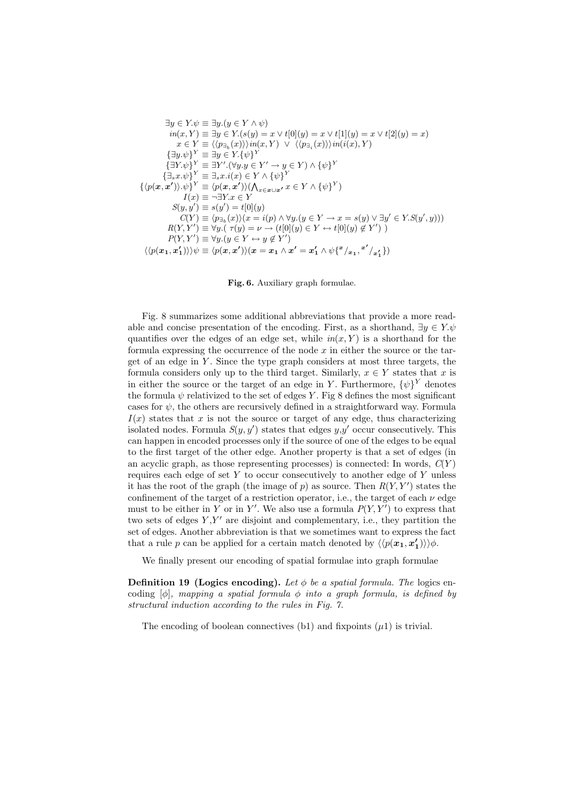$$
\exists y \in Y. \psi \equiv \exists y. (y \in Y \land \psi) \nin(x, Y) \equiv \exists y \in Y. (s(y) = x \lor t[0](y) = x \lor t[1](y) = x \lor t[2](y) = x) \nx \in Y \equiv \langle \langle p_{\exists_b}(x) \rangle \rangle in(x, Y) \lor \langle \langle p_{\exists_i}(x) \rangle \rangle in(i(x), Y) \n\{\exists y. \psi\}^Y \equiv \exists y \in Y. \{\psi\}^Y \{\exists Y. \psi\}^Y \equiv \exists Y'. (\forall y. y \in Y' \rightarrow y \in Y) \land \{\psi\}^Y \n\{\exists_s x. \psi\}^Y \equiv \exists_s x. i(x) \in Y \land \{\psi\}^Y \n\{\langle p(x, x') \rangle. \psi\}^Y \equiv \langle p(x, x') \rangle (\langle \chi_{x \in x \cup x'} x \in Y \land \{\psi\}^Y) \nI(x) \equiv \neg \exists Y. x \in Y \nS(y, y') \equiv s(y') = t[0](y) \nC(Y) \equiv \langle p_{\exists_b}(x) \rangle (x = i(p) \land \forall y. (y \in Y \rightarrow x = s(y) \lor \exists y' \in Y. S(y', y))) \nR(Y, Y') \equiv \forall y. (y \in Y \leftrightarrow y \notin Y') \n\langle \langle p(x_1, x_1') \rangle \rangle \psi \equiv \langle p(x, x') \rangle (x = x_1 \land x' = x_1' \land \psi \{^x / x_1, x' / x_1'\})
$$

Fig. 6. Auxiliary graph formulae.

Fig. 8 summarizes some additional abbreviations that provide a more readable and concise presentation of the encoding. First, as a shorthand,  $\exists y \in Y. \psi$ quantifies over the edges of an edge set, while  $in(x, Y)$  is a shorthand for the formula expressing the occurrence of the node  $x$  in either the source or the target of an edge in  $Y$ . Since the type graph considers at most three targets, the formula considers only up to the third target. Similarly,  $x \in Y$  states that x is in either the source or the target of an edge in Y. Furthermore,  $\{\psi\}^{Y}$  denotes the formula  $\psi$  relativized to the set of edges Y. Fig 8 defines the most significant cases for  $\psi$ , the others are recursively defined in a straightforward way. Formula  $I(x)$  states that x is not the source or target of any edge, thus characterizing isolated nodes. Formula  $S(y, y')$  states that edges  $y, y'$  occur consecutively. This can happen in encoded processes only if the source of one of the edges to be equal to the first target of the other edge. Another property is that a set of edges (in an acyclic graph, as those representing processes) is connected: In words,  $C(Y)$ requires each edge of set  $Y$  to occur consecutively to another edge of  $Y$  unless it has the root of the graph (the image of p) as source. Then  $R(Y, Y')$  states the confinement of the target of a restriction operator, i.e., the target of each  $\nu$  edge must to be either in Y or in Y'. We also use a formula  $P(Y, Y')$  to express that two sets of edges  $Y, Y'$  are disjoint and complementary, i.e., they partition the set of edges. Another abbreviation is that we sometimes want to express the fact that a rule p can be applied for a certain match denoted by  $\langle p(\mathbf{x_1}, \mathbf{x'_1}) \rangle \rangle \phi$ .

We finally present our encoding of spatial formulae into graph formulae

**Definition 19 (Logics encoding).** Let  $\phi$  be a spatial formula. The logics encoding  $[\phi]$ , mapping a spatial formula  $\phi$  into a graph formula, is defined by structural induction according to the rules in Fig. 7.

The encoding of boolean connectives (b1) and fixpoints  $(\mu 1)$  is trivial.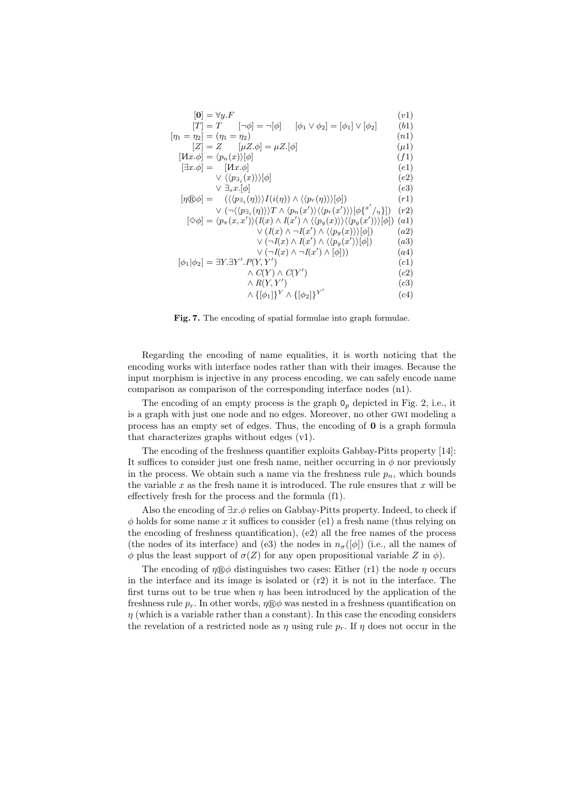| $ {\bf 0}  = \forall y.F$                                                                                                                                                   | (v1)      |
|-----------------------------------------------------------------------------------------------------------------------------------------------------------------------------|-----------|
| $[T] = T$ $\lceil \neg \phi \rceil = \neg  \phi $<br>$ \phi_1 \vee \phi_2  =  \phi_1  \vee  \phi_2 $                                                                        | (b1)      |
| $[\eta_1 = \eta_2] = (\eta_1 = \eta_2)$                                                                                                                                     | (n1)      |
| $[Z] = Z$ $[\mu Z.\phi] = \mu Z.\phi$                                                                                                                                       | $(\mu 1)$ |
| $[Hx.\phi] = \langle p_n(x) \rangle[\phi]$                                                                                                                                  | (f1)      |
| $[\exists x.\phi] = [Hx.\phi]$                                                                                                                                              | (e1)      |
| $\vee \langle \langle p_{\exists_i}(x) \rangle  \phi $                                                                                                                      | (e2)      |
| $\vee \exists_s x. [\phi]$                                                                                                                                                  | (e3)      |
| $[\eta \otimes \phi] = (\langle \langle p_{\exists_i}(\eta) \rangle \rangle I(i(\eta)) \wedge \langle \langle p_r(\eta) \rangle \rangle [\phi])$                            | (r1)      |
| $\vee$ $(\neg \langle \langle p_{\exists_i}(\eta) \rangle \rangle T \wedge \langle p_n(x') \rangle \langle \langle p_r(x') \rangle \rangle [\phi \{x'/n\}])$                | (r2)      |
| $[\diamondsuit \phi] = \langle p_{\pi}(x, x') \rangle (I(x) \wedge I(x') \wedge \langle \langle p_{g}(x) \rangle \rangle \langle \langle p_{g}(x') \rangle \rangle [\phi])$ | (a1)      |
| $\vee (I(x) \wedge \neg I(x') \wedge \langle \langle p_g(x) \rangle \rangle [\phi])$                                                                                        | (a2)      |
| $\vee (\neg I(x) \wedge I(x') \wedge \langle \langle p_g(x') \rangle[\phi])$                                                                                                | (a3)      |
| $\vee$ ( $\neg I(x) \wedge \neg I(x') \wedge [\phi])$ )                                                                                                                     | (a4)      |
| $[\phi_1 \phi_2] = \exists Y \exists Y'.P(Y,Y')$                                                                                                                            | (c1)      |
| $\wedge C(Y) \wedge C(Y')$                                                                                                                                                  | (c2)      |
| $\wedge R(Y,Y')$                                                                                                                                                            | (c3)      |
| $\wedge \{[\phi_1]\}^Y \wedge \{[\phi_2]\}^{Y'}$                                                                                                                            | (c4)      |

Fig. 7. The encoding of spatial formulae into graph formulae.

Regarding the encoding of name equalities, it is worth noticing that the encoding works with interface nodes rather than with their images. Because the input morphism is injective in any process encoding, we can safely encode name comparison as comparison of the corresponding interface nodes (n1).

The encoding of an empty process is the graph  $\mathsf{O}_p$  depicted in Fig. 2, i.e., it is a graph with just one node and no edges. Moreover, no other gwi modeling a process has an empty set of edges. Thus, the encoding of 0 is a graph formula that characterizes graphs without edges (v1).

The encoding of the freshness quantifier exploits Gabbay-Pitts property [14]: It suffices to consider just one fresh name, neither occurring in  $\phi$  nor previously in the process. We obtain such a name via the freshness rule  $p_n$ , which bounds the variable x as the fresh name it is introduced. The rule ensures that  $x$  will be effectively fresh for the process and the formula (f1).

Also the encoding of  $\exists x.\phi$  relies on Gabbay-Pitts property. Indeed, to check if  $\phi$  holds for some name x it suffices to consider (e1) a fresh name (thus relying on the encoding of freshness quantification), (e2) all the free names of the process (the nodes of its interface) and (e3) the nodes in  $n_{\sigma}([\phi])$  (i.e., all the names of  $\phi$  plus the least support of  $\sigma(Z)$  for any open propositional variable Z in  $\phi$ ).

The encoding of  $\eta \otimes \phi$  distinguishes two cases: Either (r1) the node  $\eta$  occurs in the interface and its image is isolated or  $(r2)$  it is not in the interface. The first turns out to be true when  $\eta$  has been introduced by the application of the freshness rule  $p_r$ . In other words,  $\eta \otimes \phi$  was nested in a freshness quantification on  $\eta$  (which is a variable rather than a constant). In this case the encoding considers the revelation of a restricted node as  $\eta$  using rule  $p_r$ . If  $\eta$  does not occur in the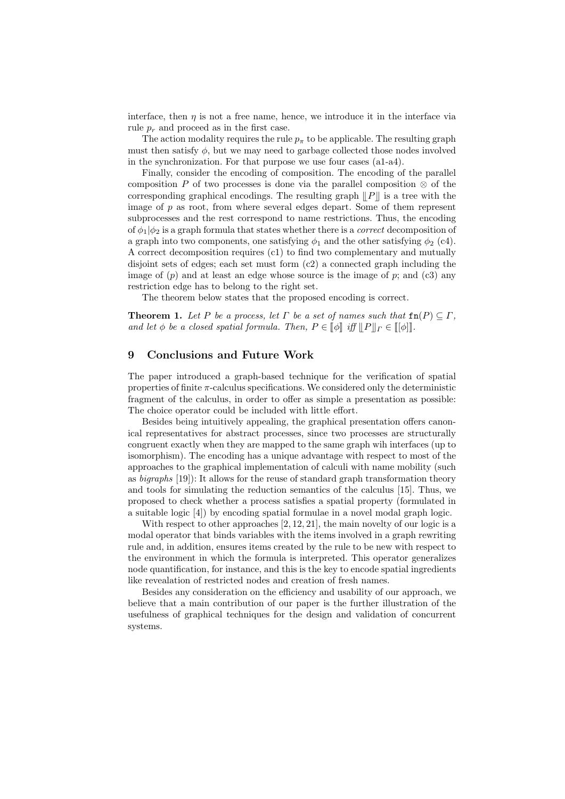interface, then  $\eta$  is not a free name, hence, we introduce it in the interface via rule  $p_r$  and proceed as in the first case.

The action modality requires the rule  $p_{\pi}$  to be applicable. The resulting graph must then satisfy  $\phi$ , but we may need to garbage collected those nodes involved in the synchronization. For that purpose we use four cases (a1-a4).

Finally, consider the encoding of composition. The encoding of the parallel composition P of two processes is done via the parallel composition  $\otimes$  of the corresponding graphical encodings. The resulting graph  $||P||$  is a tree with the image of  $p$  as root, from where several edges depart. Some of them represent subprocesses and the rest correspond to name restrictions. Thus, the encoding of  $\phi_1|\phi_2$  is a graph formula that states whether there is a *correct* decomposition of a graph into two components, one satisfying  $\phi_1$  and the other satisfying  $\phi_2$  (c4). A correct decomposition requires (c1) to find two complementary and mutually disjoint sets of edges; each set must form (c2) a connected graph including the image of  $(p)$  and at least an edge whose source is the image of  $p$ ; and  $(c3)$  any restriction edge has to belong to the right set.

The theorem below states that the proposed encoding is correct.

**Theorem 1.** Let P be a process, let  $\Gamma$  be a set of names such that  $\text{fn}(P) \subseteq \Gamma$ , and let  $\phi$  be a closed spatial formula. Then,  $P \in \llbracket \phi \rrbracket$  iff  $\llbracket P \rrbracket_{\Gamma} \in \llbracket [\phi] \rrbracket$ .

## 9 Conclusions and Future Work

The paper introduced a graph-based technique for the verification of spatial properties of finite  $\pi$ -calculus specifications. We considered only the deterministic fragment of the calculus, in order to offer as simple a presentation as possible: The choice operator could be included with little effort.

Besides being intuitively appealing, the graphical presentation offers canonical representatives for abstract processes, since two processes are structurally congruent exactly when they are mapped to the same graph wih interfaces (up to isomorphism). The encoding has a unique advantage with respect to most of the approaches to the graphical implementation of calculi with name mobility (such as bigraphs [19]): It allows for the reuse of standard graph transformation theory and tools for simulating the reduction semantics of the calculus [15]. Thus, we proposed to check whether a process satisfies a spatial property (formulated in a suitable logic [4]) by encoding spatial formulae in a novel modal graph logic.

With respect to other approaches [2, 12, 21], the main novelty of our logic is a modal operator that binds variables with the items involved in a graph rewriting rule and, in addition, ensures items created by the rule to be new with respect to the environment in which the formula is interpreted. This operator generalizes node quantification, for instance, and this is the key to encode spatial ingredients like revealation of restricted nodes and creation of fresh names.

Besides any consideration on the efficiency and usability of our approach, we believe that a main contribution of our paper is the further illustration of the usefulness of graphical techniques for the design and validation of concurrent systems.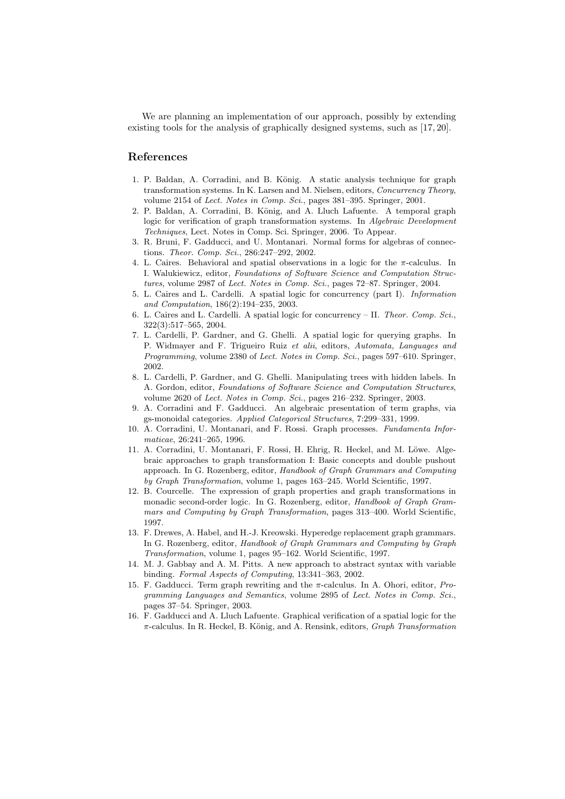We are planning an implementation of our approach, possibly by extending existing tools for the analysis of graphically designed systems, such as [17, 20].

### References

- 1. P. Baldan, A. Corradini, and B. König. A static analysis technique for graph transformation systems. In K. Larsen and M. Nielsen, editors, Concurrency Theory, volume 2154 of Lect. Notes in Comp. Sci., pages 381–395. Springer, 2001.
- 2. P. Baldan, A. Corradini, B. König, and A. Lluch Lafuente. A temporal graph logic for verification of graph transformation systems. In Algebraic Development Techniques, Lect. Notes in Comp. Sci. Springer, 2006. To Appear.
- 3. R. Bruni, F. Gadducci, and U. Montanari. Normal forms for algebras of connections. Theor. Comp. Sci., 286:247–292, 2002.
- 4. L. Caires. Behavioral and spatial observations in a logic for the  $\pi$ -calculus. In I. Walukiewicz, editor, Foundations of Software Science and Computation Structures, volume 2987 of Lect. Notes in Comp. Sci., pages 72–87. Springer, 2004.
- 5. L. Caires and L. Cardelli. A spatial logic for concurrency (part I). Information and Computation, 186(2):194–235, 2003.
- 6. L. Caires and L. Cardelli. A spatial logic for concurrency II. Theor. Comp. Sci., 322(3):517–565, 2004.
- 7. L. Cardelli, P. Gardner, and G. Ghelli. A spatial logic for querying graphs. In P. Widmayer and F. Trigueiro Ruiz et alii, editors, Automata, Languages and Programming, volume 2380 of Lect. Notes in Comp. Sci., pages 597–610. Springer, 2002.
- 8. L. Cardelli, P. Gardner, and G. Ghelli. Manipulating trees with hidden labels. In A. Gordon, editor, Foundations of Software Science and Computation Structures, volume 2620 of Lect. Notes in Comp. Sci., pages 216–232. Springer, 2003.
- 9. A. Corradini and F. Gadducci. An algebraic presentation of term graphs, via gs-monoidal categories. Applied Categorical Structures, 7:299–331, 1999.
- 10. A. Corradini, U. Montanari, and F. Rossi. Graph processes. Fundamenta Informaticae, 26:241–265, 1996.
- 11. A. Corradini, U. Montanari, F. Rossi, H. Ehrig, R. Heckel, and M. Löwe. Algebraic approaches to graph transformation I: Basic concepts and double pushout approach. In G. Rozenberg, editor, Handbook of Graph Grammars and Computing by Graph Transformation, volume 1, pages 163–245. World Scientific, 1997.
- 12. B. Courcelle. The expression of graph properties and graph transformations in monadic second-order logic. In G. Rozenberg, editor, Handbook of Graph Grammars and Computing by Graph Transformation, pages 313–400. World Scientific, 1997.
- 13. F. Drewes, A. Habel, and H.-J. Kreowski. Hyperedge replacement graph grammars. In G. Rozenberg, editor, Handbook of Graph Grammars and Computing by Graph Transformation, volume 1, pages 95–162. World Scientific, 1997.
- 14. M. J. Gabbay and A. M. Pitts. A new approach to abstract syntax with variable binding. Formal Aspects of Computing, 13:341–363, 2002.
- 15. F. Gadducci. Term graph rewriting and the  $\pi$ -calculus. In A. Ohori, editor, *Pro*gramming Languages and Semantics, volume 2895 of Lect. Notes in Comp. Sci., pages 37–54. Springer, 2003.
- 16. F. Gadducci and A. Lluch Lafuente. Graphical verification of a spatial logic for the  $\pi$ -calculus. In R. Heckel, B. König, and A. Rensink, editors, *Graph Transformation*